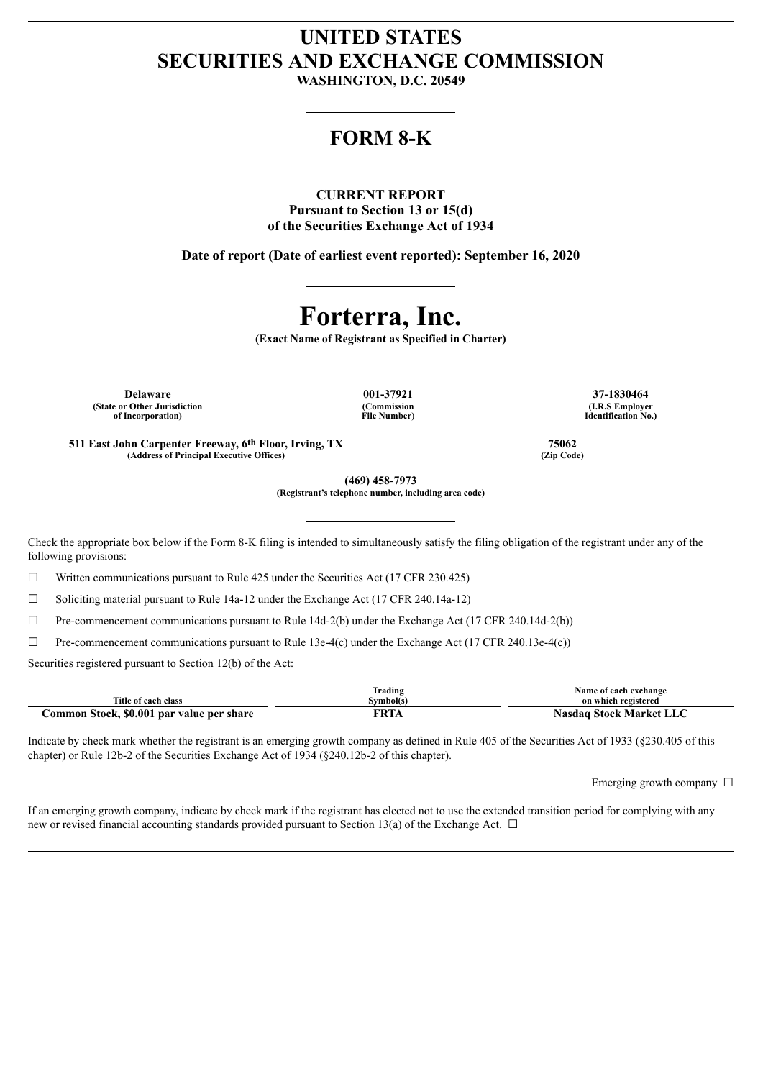# **UNITED STATES SECURITIES AND EXCHANGE COMMISSION**

**WASHINGTON, D.C. 20549**

## **FORM 8-K**

### **CURRENT REPORT**

**Pursuant to Section 13 or 15(d) of the Securities Exchange Act of 1934**

**Date of report (Date of earliest event reported): September 16, 2020**

# **Forterra, Inc.**

**(Exact Name of Registrant as Specified in Charter)**

**Delaware 001-37921 37-1830464 (State or Other Jurisdiction of Incorporation)**

**(Commission File Number)**

**(I.R.S Employer Identification No.)**

**511 East John Carpenter Freeway, 6th Floor, Irving, TX 75062 (Address of Principal Executive Offices) (Zip Code)**

**(469) 458-7973 (Registrant's telephone number, including area code)**

Check the appropriate box below if the Form 8-K filing is intended to simultaneously satisfy the filing obligation of the registrant under any of the following provisions:

 $\Box$  Written communications pursuant to Rule 425 under the Securities Act (17 CFR 230.425)

☐ Soliciting material pursuant to Rule 14a-12 under the Exchange Act (17 CFR 240.14a-12)

 $\Box$  Pre-commencement communications pursuant to Rule 14d-2(b) under the Exchange Act (17 CFR 240.14d-2(b))

 $\Box$  Pre-commencement communications pursuant to Rule 13e-4(c) under the Exchange Act (17 CFR 240.13e-4(c))

Securities registered pursuant to Section 12(b) of the Act:

|                                           | Trading     | Name of each exchange   |
|-------------------------------------------|-------------|-------------------------|
| Title of each class                       | Svmbol(s)   | on which registered     |
| Common Stock, \$0.001 par value per share | <b>FRTA</b> | Nasdag Stock Market LLC |

Indicate by check mark whether the registrant is an emerging growth company as defined in Rule 405 of the Securities Act of 1933 (§230.405 of this chapter) or Rule 12b-2 of the Securities Exchange Act of 1934 (§240.12b-2 of this chapter).

Emerging growth company  $\Box$ 

If an emerging growth company, indicate by check mark if the registrant has elected not to use the extended transition period for complying with any new or revised financial accounting standards provided pursuant to Section 13(a) of the Exchange Act.  $\Box$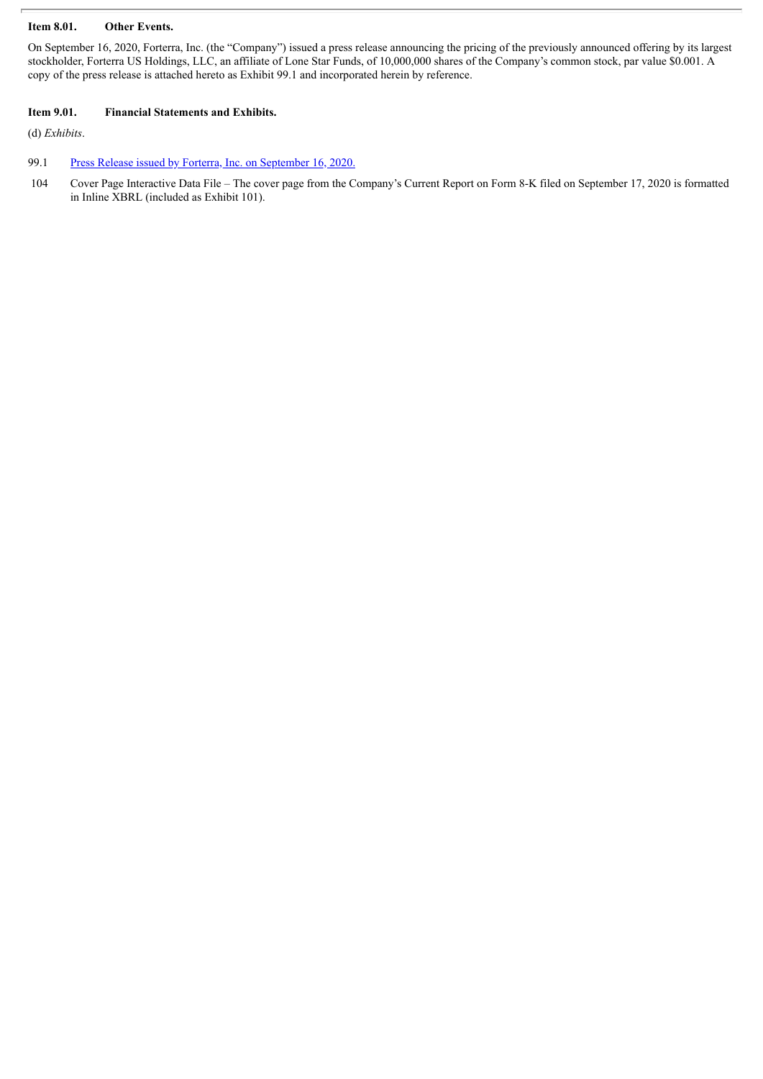#### **Item 8.01. Other Events.**

On September 16, 2020, Forterra, Inc. (the "Company") issued a press release announcing the pricing of the previously announced offering by its largest stockholder, Forterra US Holdings, LLC, an affiliate of Lone Star Funds, of 10,000,000 shares of the Company's common stock, par value \$0.001. A copy of the press release is attached hereto as Exhibit 99.1 and incorporated herein by reference.

#### **Item 9.01. Financial Statements and Exhibits.**

(d) *Exhibits*.

#### 99.1 Press Release issued by Forterra, Inc. on [September](#page-3-0) 16, 2020.

104 Cover Page Interactive Data File – The cover page from the Company's Current Report on Form 8-K filed on September 17, 2020 is formatted in Inline XBRL (included as Exhibit 101).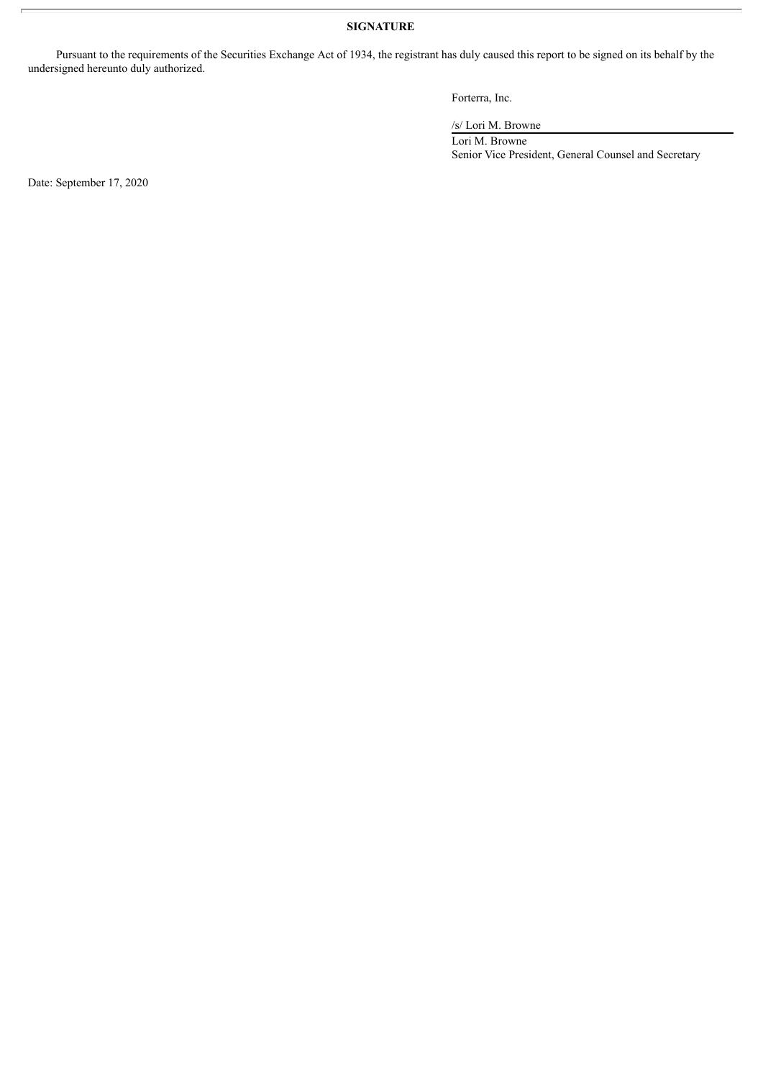### **SIGNATURE**

Pursuant to the requirements of the Securities Exchange Act of 1934, the registrant has duly caused this report to be signed on its behalf by the undersigned hereunto duly authorized.

Forterra, Inc.

/s/ Lori M. Browne

Lori M. Browne Senior Vice President, General Counsel and Secretary

Date: September 17, 2020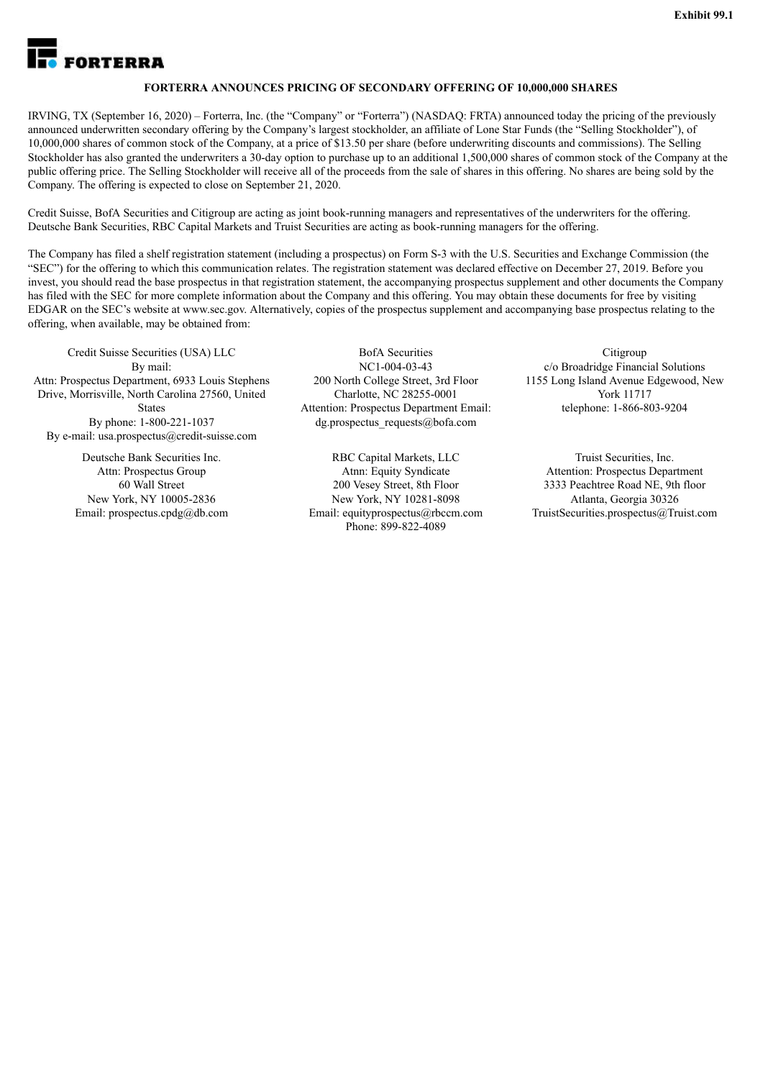<span id="page-3-0"></span>

#### **FORTERRA ANNOUNCES PRICING OF SECONDARY OFFERING OF 10,000,000 SHARES**

IRVING, TX (September 16, 2020) – Forterra, Inc. (the "Company" or "Forterra") (NASDAQ: FRTA) announced today the pricing of the previously announced underwritten secondary offering by the Company's largest stockholder, an affiliate of Lone Star Funds (the "Selling Stockholder"), of 10,000,000 shares of common stock of the Company, at a price of \$13.50 per share (before underwriting discounts and commissions). The Selling Stockholder has also granted the underwriters a 30-day option to purchase up to an additional 1,500,000 shares of common stock of the Company at the public offering price. The Selling Stockholder will receive all of the proceeds from the sale of shares in this offering. No shares are being sold by the Company. The offering is expected to close on September 21, 2020.

Credit Suisse, BofA Securities and Citigroup are acting as joint book-running managers and representatives of the underwriters for the offering. Deutsche Bank Securities, RBC Capital Markets and Truist Securities are acting as book-running managers for the offering.

The Company has filed a shelf registration statement (including a prospectus) on Form S-3 with the U.S. Securities and Exchange Commission (the "SEC") for the offering to which this communication relates. The registration statement was declared effective on December 27, 2019. Before you invest, you should read the base prospectus in that registration statement, the accompanying prospectus supplement and other documents the Company has filed with the SEC for more complete information about the Company and this offering. You may obtain these documents for free by visiting EDGAR on the SEC's website at www.sec.gov. Alternatively, copies of the prospectus supplement and accompanying base prospectus relating to the offering, when available, may be obtained from:

Credit Suisse Securities (USA) LLC By mail: Attn: Prospectus Department, 6933 Louis Stephens Drive, Morrisville, North Carolina 27560, United **States** By phone: 1-800-221-1037 By e-mail: usa.prospectus@credit-suisse.com

> Deutsche Bank Securities Inc. Attn: Prospectus Group 60 Wall Street New York, NY 10005-2836 Email: prospectus.cpdg@db.com

BofA Securities NC1-004-03-43 200 North College Street, 3rd Floor Charlotte, NC 28255-0001 Attention: Prospectus Department Email: dg.prospectus\_requests@bofa.com

RBC Capital Markets, LLC Atnn: Equity Syndicate 200 Vesey Street, 8th Floor New York, NY 10281-8098 Email: equityprospectus@rbccm.com Phone: 899-822-4089

**Citigroup** c/o Broadridge Financial Solutions 1155 Long Island Avenue Edgewood, New York 11717 telephone: 1-866-803-9204

Truist Securities, Inc. Attention: Prospectus Department 3333 Peachtree Road NE, 9th floor Atlanta, Georgia 30326 TruistSecurities.prospectus@Truist.com